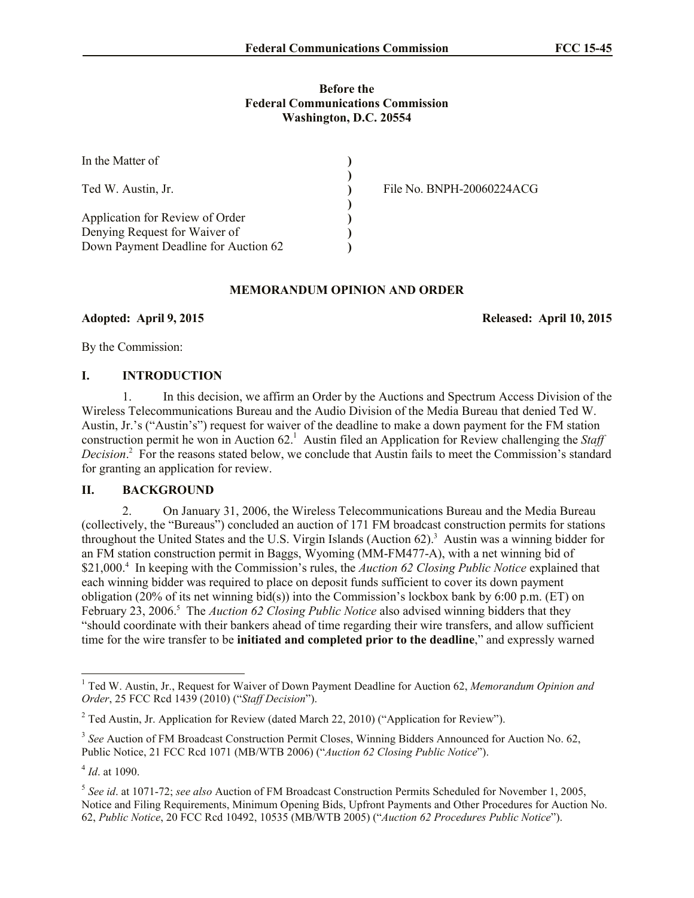## **Before the Federal Communications Commission Washington, D.C. 20554**

| In the Matter of                                                      |                           |
|-----------------------------------------------------------------------|---------------------------|
| Ted W. Austin, Jr.                                                    | File No. BNPH-20060224ACG |
| Application for Review of Order                                       |                           |
| Denying Request for Waiver of<br>Down Payment Deadline for Auction 62 |                           |

# **MEMORANDUM OPINION AND ORDER**

**Adopted: April 9, 2015 Released: April 10, 2015**

By the Commission:

## **I. INTRODUCTION**

1. In this decision, we affirm an Order by the Auctions and Spectrum Access Division of the Wireless Telecommunications Bureau and the Audio Division of the Media Bureau that denied Ted W. Austin, Jr.'s ("Austin's") request for waiver of the deadline to make a down payment for the FM station construction permit he won in Auction  $62<sup>1</sup>$  Austin filed an Application for Review challenging the *Staff Decision*. 2 For the reasons stated below, we conclude that Austin fails to meet the Commission's standard for granting an application for review.

## **II. BACKGROUND**

2. On January 31, 2006, the Wireless Telecommunications Bureau and the Media Bureau (collectively, the "Bureaus") concluded an auction of 171 FM broadcast construction permits for stations throughout the United States and the U.S. Virgin Islands (Auction 62).<sup>3</sup> Austin was a winning bidder for an FM station construction permit in Baggs, Wyoming (MM-FM477-A), with a net winning bid of \$21,000.<sup>4</sup> In keeping with the Commission's rules, the *Auction 62 Closing Public Notice* explained that each winning bidder was required to place on deposit funds sufficient to cover its down payment obligation (20% of its net winning bid(s)) into the Commission's lockbox bank by 6:00 p.m. (ET) on February 23, 2006.<sup>5</sup> The *Auction 62 Closing Public Notice* also advised winning bidders that they "should coordinate with their bankers ahead of time regarding their wire transfers, and allow sufficient time for the wire transfer to be **initiated and completed prior to the deadline**," and expressly warned

l

<sup>1</sup> Ted W. Austin, Jr., Request for Waiver of Down Payment Deadline for Auction 62, *Memorandum Opinion and Order*, 25 FCC Rcd 1439 (2010) ("*Staff Decision*").

 $2$  Ted Austin, Jr. Application for Review (dated March 22, 2010) ("Application for Review").

<sup>&</sup>lt;sup>3</sup> See Auction of FM Broadcast Construction Permit Closes, Winning Bidders Announced for Auction No. 62, Public Notice, 21 FCC Rcd 1071 (MB/WTB 2006) ("*Auction 62 Closing Public Notice*").

<sup>4</sup> *Id*. at 1090.

<sup>5</sup> *See id*. at 1071-72; *see also* Auction of FM Broadcast Construction Permits Scheduled for November 1, 2005, Notice and Filing Requirements, Minimum Opening Bids, Upfront Payments and Other Procedures for Auction No. 62, *Public Notice*, 20 FCC Rcd 10492, 10535 (MB/WTB 2005) ("*Auction 62 Procedures Public Notice*").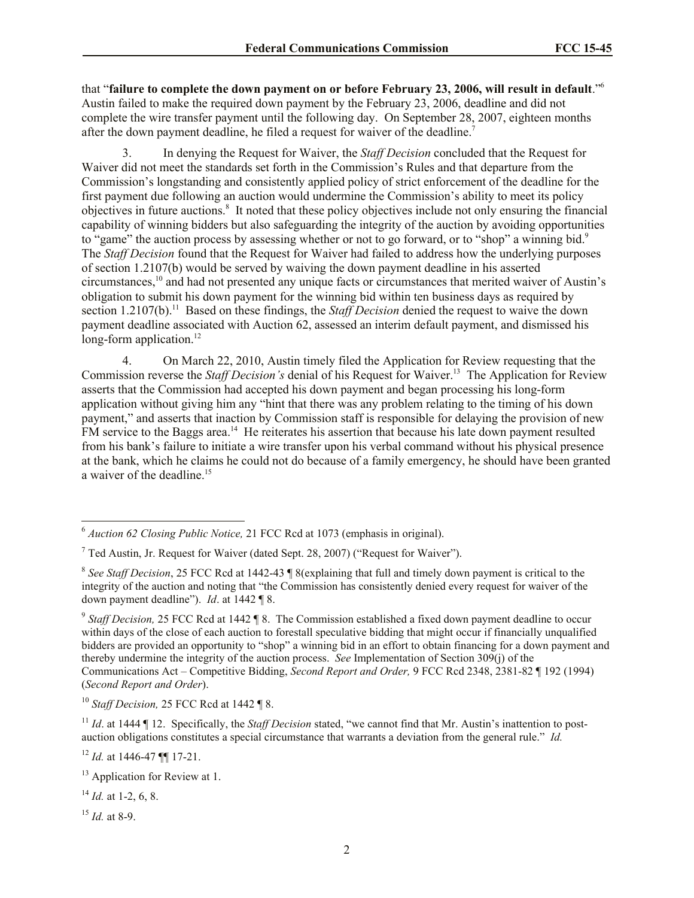that "**failure to complete the down payment on or before February 23, 2006, will result in default**."<sup>6</sup> Austin failed to make the required down payment by the February 23, 2006, deadline and did not complete the wire transfer payment until the following day. On September 28, 2007, eighteen months after the down payment deadline, he filed a request for waiver of the deadline.<sup>7</sup>

3. In denying the Request for Waiver, the *Staff Decision* concluded that the Request for Waiver did not meet the standards set forth in the Commission's Rules and that departure from the Commission's longstanding and consistently applied policy of strict enforcement of the deadline for the first payment due following an auction would undermine the Commission's ability to meet its policy objectives in future auctions.<sup>8</sup> It noted that these policy objectives include not only ensuring the financial capability of winning bidders but also safeguarding the integrity of the auction by avoiding opportunities to "game" the auction process by assessing whether or not to go forward, or to "shop" a winning bid.<sup>9</sup> The *Staff Decision* found that the Request for Waiver had failed to address how the underlying purposes of section 1.2107(b) would be served by waiving the down payment deadline in his asserted circumstances, <sup>10</sup> and had not presented any unique facts or circumstances that merited waiver of Austin's obligation to submit his down payment for the winning bid within ten business days as required by section 1.2107(b).<sup>11</sup> Based on these findings, the *Staff Decision* denied the request to waive the down payment deadline associated with Auction 62, assessed an interim default payment, and dismissed his long-form application.<sup>12</sup>

4. On March 22, 2010, Austin timely filed the Application for Review requesting that the Commission reverse the *Staff Decision's* denial of his Request for Waiver.<sup>13</sup> The Application for Review asserts that the Commission had accepted his down payment and began processing his long-form application without giving him any "hint that there was any problem relating to the timing of his down payment," and asserts that inaction by Commission staff is responsible for delaying the provision of new FM service to the Baggs area.<sup>14</sup> He reiterates his assertion that because his late down payment resulted from his bank's failure to initiate a wire transfer upon his verbal command without his physical presence at the bank, which he claims he could not do because of a family emergency, he should have been granted a waiver of the deadline.<sup>15</sup>

l

<sup>6</sup> *Auction 62 Closing Public Notice,* 21 FCC Rcd at 1073 (emphasis in original).

 $<sup>7</sup>$  Ted Austin, Jr. Request for Waiver (dated Sept. 28, 2007) ("Request for Waiver").</sup>

<sup>8</sup> *See Staff Decision*, 25 FCC Rcd at 1442-43 ¶ 8(explaining that full and timely down payment is critical to the integrity of the auction and noting that "the Commission has consistently denied every request for waiver of the down payment deadline"). *Id*. at 1442 ¶ 8.

<sup>9</sup> *Staff Decision,* 25 FCC Rcd at 1442 ¶ 8. The Commission established a fixed down payment deadline to occur within days of the close of each auction to forestall speculative bidding that might occur if financially unqualified bidders are provided an opportunity to "shop" a winning bid in an effort to obtain financing for a down payment and thereby undermine the integrity of the auction process. *See* Implementation of Section 309(j) of the Communications Act – Competitive Bidding, *Second Report and Order,* 9 FCC Rcd 2348, 2381-82 ¶ 192 (1994) (*Second Report and Order*).

<sup>10</sup> *Staff Decision,* 25 FCC Rcd at 1442 ¶ 8.

<sup>&</sup>lt;sup>11</sup> *Id.* at 1444 ¶ 12. Specifically, the *Staff Decision* stated, "we cannot find that Mr. Austin's inattention to postauction obligations constitutes a special circumstance that warrants a deviation from the general rule." *Id.*

<sup>12</sup> *Id.* at 1446-47 ¶¶ 17-21.

<sup>&</sup>lt;sup>13</sup> Application for Review at 1.

 $14$  *Id.* at 1-2, 6, 8.

<sup>15</sup> *Id.* at 8-9.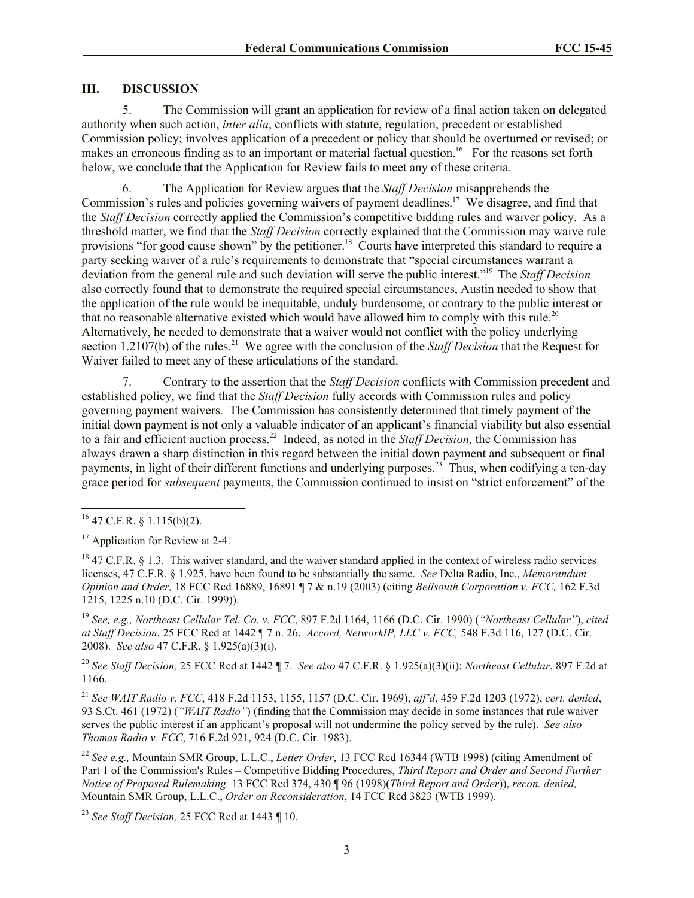### **III. DISCUSSION**

5. The Commission will grant an application for review of a final action taken on delegated authority when such action, *inter alia*, conflicts with statute, regulation, precedent or established Commission policy; involves application of a precedent or policy that should be overturned or revised; or makes an erroneous finding as to an important or material factual question.<sup>16</sup> For the reasons set forth below, we conclude that the Application for Review fails to meet any of these criteria.

6. The Application for Review argues that the *Staff Decision* misapprehends the Commission's rules and policies governing waivers of payment deadlines.<sup>17</sup> We disagree, and find that the *Staff Decision* correctly applied the Commission's competitive bidding rules and waiver policy. As a threshold matter, we find that the *Staff Decision* correctly explained that the Commission may waive rule provisions "for good cause shown" by the petitioner.<sup>18</sup> Courts have interpreted this standard to require a party seeking waiver of a rule's requirements to demonstrate that "special circumstances warrant a deviation from the general rule and such deviation will serve the public interest."<sup>19</sup> The *Staff Decision* also correctly found that to demonstrate the required special circumstances, Austin needed to show that the application of the rule would be inequitable, unduly burdensome, or contrary to the public interest or that no reasonable alternative existed which would have allowed him to comply with this rule.<sup>20</sup> Alternatively, he needed to demonstrate that a waiver would not conflict with the policy underlying section 1.2107(b) of the rules.<sup>21</sup> We agree with the conclusion of the *Staff Decision* that the Request for Waiver failed to meet any of these articulations of the standard.

7. Contrary to the assertion that the *Staff Decision* conflicts with Commission precedent and established policy, we find that the *Staff Decision* fully accords with Commission rules and policy governing payment waivers. The Commission has consistently determined that timely payment of the initial down payment is not only a valuable indicator of an applicant's financial viability but also essential to a fair and efficient auction process. <sup>22</sup> Indeed, as noted in the *Staff Decision,* the Commission has always drawn a sharp distinction in this regard between the initial down payment and subsequent or final payments, in light of their different functions and underlying purposes.<sup>23</sup> Thus, when codifying a ten-day grace period for *subsequent* payments, the Commission continued to insist on "strict enforcement" of the

l

<sup>19</sup> *See, e.g., Northeast Cellular Tel. Co. v. FCC*, 897 F.2d 1164, 1166 (D.C. Cir. 1990) (*"Northeast Cellular"*), *cited at Staff Decision*, 25 FCC Rcd at 1442 ¶ 7 n. 26. *Accord, NetworkIP, LLC v. FCC,* 548 F.3d 116, 127 (D.C. Cir. 2008). *See also* 47 C.F.R. § 1.925(a)(3)(i).

<sup>20</sup> *See Staff Decision,* 25 FCC Rcd at 1442 ¶ 7. *See also* 47 C.F.R. § 1.925(a)(3)(ii); *Northeast Cellular*, 897 F.2d at 1166.

<sup>21</sup> *See WAIT Radio v. FCC*, 418 F.2d 1153, 1155, 1157 (D.C. Cir. 1969), *aff'd*, 459 F.2d 1203 (1972), *cert. denied*, 93 S.Ct. 461 (1972) (*"WAIT Radio"*) (finding that the Commission may decide in some instances that rule waiver serves the public interest if an applicant's proposal will not undermine the policy served by the rule). *See also Thomas Radio v. FCC*, 716 F.2d 921, 924 (D.C. Cir. 1983).

<sup>22</sup> *See e.g.,* Mountain SMR Group, L.L.C., *Letter Order*, 13 FCC Rcd 16344 (WTB 1998) (citing Amendment of Part 1 of the Commission's Rules – Competitive Bidding Procedures, *Third Report and Order and Second Further Notice of Proposed Rulemaking,* 13 FCC Rcd 374, 430 ¶ 96 (1998)(*Third Report and Order*)), *recon. denied,*  Mountain SMR Group, L.L.C., *Order on Reconsideration*, 14 FCC Rcd 3823 (WTB 1999).

<sup>23</sup> *See Staff Decision,* 25 FCC Rcd at 1443 ¶ 10.

 $^{16}$  47 C.F.R. § 1.115(b)(2).

<sup>&</sup>lt;sup>17</sup> Application for Review at 2-4.

 $18$  47 C.F.R. § 1.3. This waiver standard, and the waiver standard applied in the context of wireless radio services licenses, 47 C.F.R. § 1.925, have been found to be substantially the same. *See* Delta Radio, Inc., *Memorandum Opinion and Order,* 18 FCC Rcd 16889, 16891 ¶ 7 & n.19 (2003) (citing *Bellsouth Corporation v. FCC,* 162 F.3d 1215, 1225 n.10 (D.C. Cir. 1999)).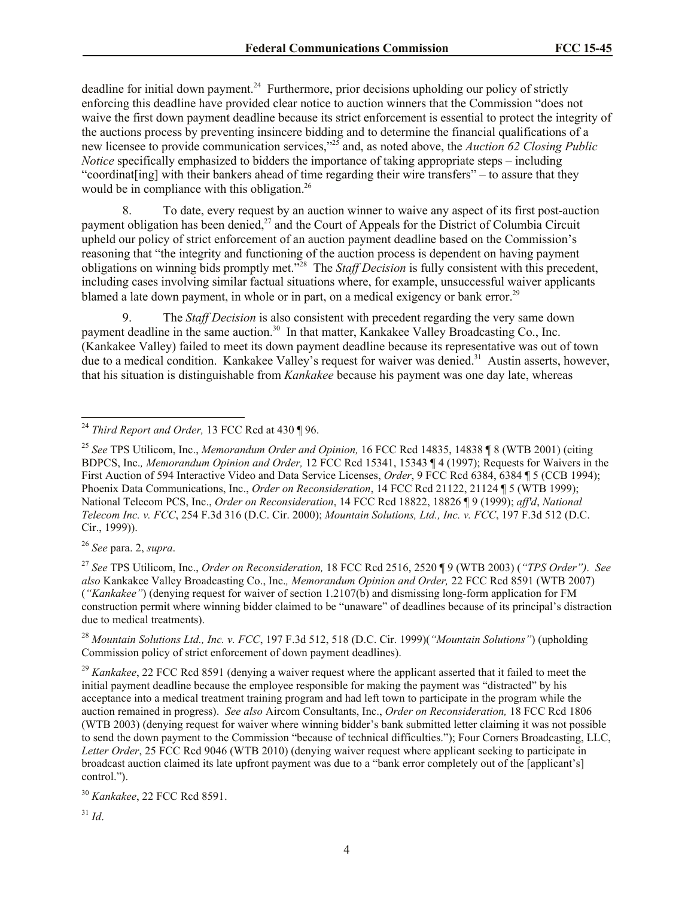deadline for initial down payment.<sup>24</sup> Furthermore, prior decisions upholding our policy of strictly enforcing this deadline have provided clear notice to auction winners that the Commission "does not waive the first down payment deadline because its strict enforcement is essential to protect the integrity of the auctions process by preventing insincere bidding and to determine the financial qualifications of a new licensee to provide communication services," <sup>25</sup> and, as noted above, the *Auction 62 Closing Public Notice* specifically emphasized to bidders the importance of taking appropriate steps – including "coordinat[ing] with their bankers ahead of time regarding their wire transfers" – to assure that they would be in compliance with this obligation.<sup>26</sup>

8. To date, every request by an auction winner to waive any aspect of its first post-auction payment obligation has been denied,<sup>27</sup> and the Court of Appeals for the District of Columbia Circuit upheld our policy of strict enforcement of an auction payment deadline based on the Commission's reasoning that "the integrity and functioning of the auction process is dependent on having payment obligations on winning bids promptly met."<sup>28</sup> The *Staff Decision* is fully consistent with this precedent, including cases involving similar factual situations where, for example, unsuccessful waiver applicants blamed a late down payment, in whole or in part, on a medical exigency or bank error.<sup>29</sup>

9. The *Staff Decision* is also consistent with precedent regarding the very same down payment deadline in the same auction.<sup>30</sup> In that matter, Kankakee Valley Broadcasting Co., Inc. (Kankakee Valley) failed to meet its down payment deadline because its representative was out of town due to a medical condition. Kankakee Valley's request for waiver was denied.<sup>31</sup> Austin asserts, however, that his situation is distinguishable from *Kankakee* because his payment was one day late, whereas

<sup>26</sup> *See* para. 2, *supra*.

l

<sup>27</sup> *See* TPS Utilicom, Inc., *Order on Reconsideration,* 18 FCC Rcd 2516, 2520 ¶ 9 (WTB 2003) (*"TPS Order")*. *See also* Kankakee Valley Broadcasting Co., Inc.*, Memorandum Opinion and Order,* 22 FCC Rcd 8591 (WTB 2007) (*"Kankakee"*) (denying request for waiver of section 1.2107(b) and dismissing long-form application for FM construction permit where winning bidder claimed to be "unaware" of deadlines because of its principal's distraction due to medical treatments).

<sup>28</sup> *Mountain Solutions Ltd., Inc. v. FCC*, 197 F.3d 512, 518 (D.C. Cir. 1999)(*"Mountain Solutions"*) (upholding Commission policy of strict enforcement of down payment deadlines).

<sup>29</sup> *Kankakee*, 22 FCC Rcd 8591 (denying a waiver request where the applicant asserted that it failed to meet the initial payment deadline because the employee responsible for making the payment was "distracted" by his acceptance into a medical treatment training program and had left town to participate in the program while the auction remained in progress). *See also* Aircom Consultants, Inc., *Order on Reconsideration,* 18 FCC Rcd 1806 (WTB 2003) (denying request for waiver where winning bidder's bank submitted letter claiming it was not possible to send the down payment to the Commission "because of technical difficulties."); Four Corners Broadcasting, LLC, *Letter Order*, 25 FCC Rcd 9046 (WTB 2010) (denying waiver request where applicant seeking to participate in broadcast auction claimed its late upfront payment was due to a "bank error completely out of the [applicant's] control.").

<sup>24</sup> *Third Report and Order,* 13 FCC Rcd at 430 ¶ 96.

<sup>25</sup> *See* TPS Utilicom, Inc., *Memorandum Order and Opinion,* 16 FCC Rcd 14835, 14838 ¶ 8 (WTB 2001) (citing BDPCS, Inc.*, Memorandum Opinion and Order,* 12 FCC Rcd 15341, 15343 ¶ 4 (1997); Requests for Waivers in the First Auction of 594 Interactive Video and Data Service Licenses, *Order*, 9 FCC Rcd 6384, 6384 ¶ 5 (CCB 1994); Phoenix Data Communications, Inc., *Order on Reconsideration*, 14 FCC Rcd 21122, 21124 ¶ 5 (WTB 1999); National Telecom PCS, Inc., *Order on Reconsideration*, 14 FCC Rcd 18822, 18826 ¶ 9 (1999); *aff'd*, *National Telecom Inc. v. FCC*, 254 F.3d 316 (D.C. Cir. 2000); *Mountain Solutions, Ltd., Inc. v. FCC*, 197 F.3d 512 (D.C. Cir., 1999)).

<sup>30</sup> *Kankakee*, 22 FCC Rcd 8591.

 $31$  *Id.*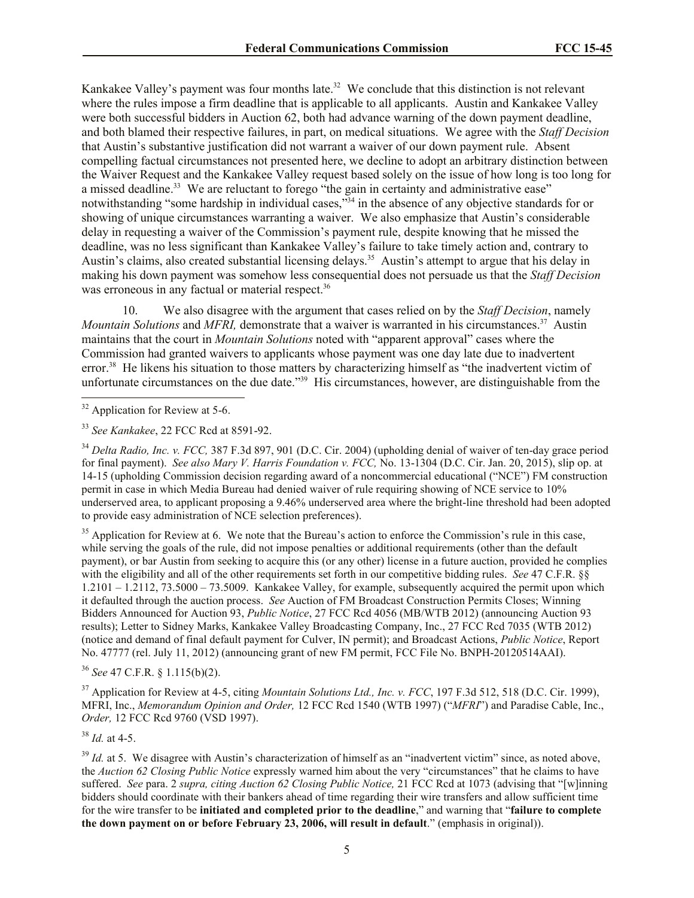Kankakee Valley's payment was four months late.<sup>32</sup> We conclude that this distinction is not relevant where the rules impose a firm deadline that is applicable to all applicants. Austin and Kankakee Valley were both successful bidders in Auction 62, both had advance warning of the down payment deadline, and both blamed their respective failures, in part, on medical situations. We agree with the *Staff Decision* that Austin's substantive justification did not warrant a waiver of our down payment rule. Absent compelling factual circumstances not presented here, we decline to adopt an arbitrary distinction between the Waiver Request and the Kankakee Valley request based solely on the issue of how long is too long for a missed deadline.<sup>33</sup> We are reluctant to forego "the gain in certainty and administrative ease" notwithstanding "some hardship in individual cases,"<sup>34</sup> in the absence of any objective standards for or showing of unique circumstances warranting a waiver. We also emphasize that Austin's considerable delay in requesting a waiver of the Commission's payment rule, despite knowing that he missed the deadline, was no less significant than Kankakee Valley's failure to take timely action and, contrary to Austin's claims, also created substantial licensing delays.<sup>35</sup> Austin's attempt to argue that his delay in making his down payment was somehow less consequential does not persuade us that the *Staff Decision* was erroneous in any factual or material respect.<sup>36</sup>

10. We also disagree with the argument that cases relied on by the *Staff Decision*, namely *Mountain Solutions* and *MFRI*, demonstrate that a waiver is warranted in his circumstances.<sup>37</sup> Austin maintains that the court in *Mountain Solutions* noted with "apparent approval" cases where the Commission had granted waivers to applicants whose payment was one day late due to inadvertent error.<sup>38</sup> He likens his situation to those matters by characterizing himself as "the inadvertent victim of unfortunate circumstances on the due date."<sup>39</sup> His circumstances, however, are distinguishable from the

l

<sup>35</sup> Application for Review at 6. We note that the Bureau's action to enforce the Commission's rule in this case, while serving the goals of the rule, did not impose penalties or additional requirements (other than the default payment), or bar Austin from seeking to acquire this (or any other) license in a future auction, provided he complies with the eligibility and all of the other requirements set forth in our competitive bidding rules. *See* 47 C.F.R. §§  $1.2101 - 1.2112$ ,  $73.5000 - 73.5009$ . Kankakee Valley, for example, subsequently acquired the permit upon which it defaulted through the auction process. *See* Auction of FM Broadcast Construction Permits Closes; Winning Bidders Announced for Auction 93, *Public Notice*, 27 FCC Rcd 4056 (MB/WTB 2012) (announcing Auction 93 results); Letter to Sidney Marks, Kankakee Valley Broadcasting Company, Inc., 27 FCC Rcd 7035 (WTB 2012) (notice and demand of final default payment for Culver, IN permit); and Broadcast Actions, *Public Notice*, Report No. 47777 (rel. July 11, 2012) (announcing grant of new FM permit, FCC File No. BNPH-20120514AAI).

<sup>36</sup> *See* 47 C.F.R. § 1.115(b)(2).

<sup>37</sup> Application for Review at 4-5, citing *Mountain Solutions Ltd., Inc. v. FCC*, 197 F.3d 512, 518 (D.C. Cir. 1999), MFRI, Inc., *Memorandum Opinion and Order,* 12 FCC Rcd 1540 (WTB 1997) ("*MFRI*") and Paradise Cable, Inc., *Order,* 12 FCC Rcd 9760 (VSD 1997).

<sup>38</sup> *Id.* at 4-5.

<sup>39</sup> *Id.* at 5. We disagree with Austin's characterization of himself as an "inadvertent victim" since, as noted above, the *Auction 62 Closing Public Notice* expressly warned him about the very "circumstances" that he claims to have suffered. *See* para. 2 *supra, citing Auction 62 Closing Public Notice,* 21 FCC Rcd at 1073 (advising that "[w]inning bidders should coordinate with their bankers ahead of time regarding their wire transfers and allow sufficient time for the wire transfer to be **initiated and completed prior to the deadline**," and warning that "**failure to complete the down payment on or before February 23, 2006, will result in default**." (emphasis in original)).

 $32$  Application for Review at 5-6.

<sup>33</sup> *See Kankakee*, 22 FCC Rcd at 8591-92.

<sup>34</sup> *Delta Radio, Inc. v. FCC,* 387 F.3d 897, 901 (D.C. Cir. 2004) (upholding denial of waiver of ten-day grace period for final payment). *See also Mary V. Harris Foundation v. FCC,* No. 13-1304 (D.C. Cir. Jan. 20, 2015), slip op. at 14-15 (upholding Commission decision regarding award of a noncommercial educational ("NCE") FM construction permit in case in which Media Bureau had denied waiver of rule requiring showing of NCE service to 10% underserved area, to applicant proposing a 9.46% underserved area where the bright-line threshold had been adopted to provide easy administration of NCE selection preferences).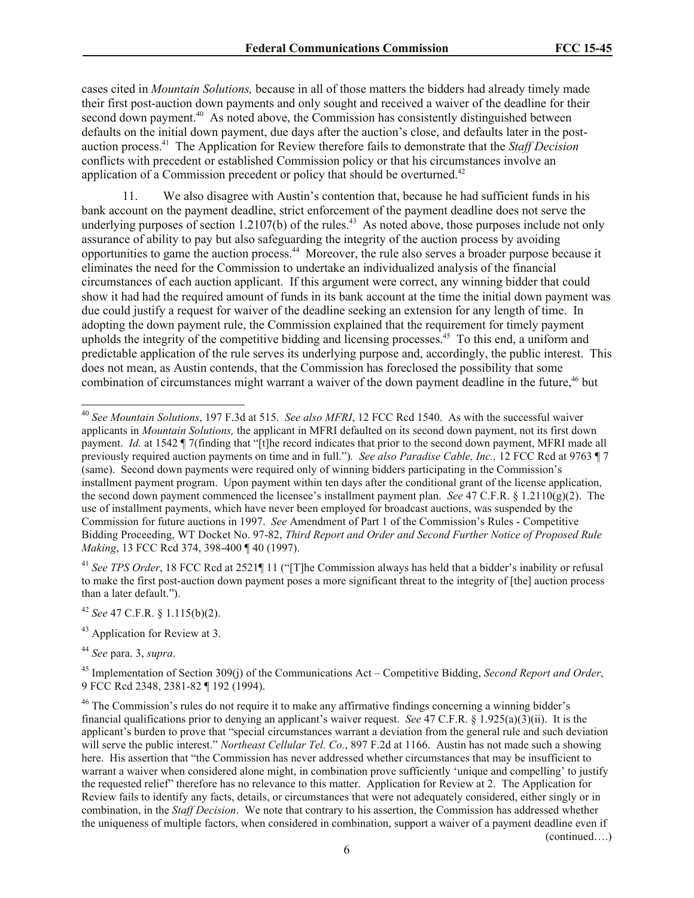cases cited in *Mountain Solutions,* because in all of those matters the bidders had already timely made their first post-auction down payments and only sought and received a waiver of the deadline for their second down payment.<sup>40</sup> As noted above, the Commission has consistently distinguished between defaults on the initial down payment, due days after the auction's close, and defaults later in the postauction process.<sup>41</sup> The Application for Review therefore fails to demonstrate that the *Staff Decision* conflicts with precedent or established Commission policy or that his circumstances involve an application of a Commission precedent or policy that should be overturned.<sup>42</sup>

11. We also disagree with Austin's contention that, because he had sufficient funds in his bank account on the payment deadline, strict enforcement of the payment deadline does not serve the underlying purposes of section 1.2107(b) of the rules.<sup>43</sup> As noted above, those purposes include not only assurance of ability to pay but also safeguarding the integrity of the auction process by avoiding opportunities to game the auction process. 44 Moreover, the rule also serves a broader purpose because it eliminates the need for the Commission to undertake an individualized analysis of the financial circumstances of each auction applicant. If this argument were correct, any winning bidder that could show it had had the required amount of funds in its bank account at the time the initial down payment was due could justify a request for waiver of the deadline seeking an extension for any length of time. In adopting the down payment rule, the Commission explained that the requirement for timely payment upholds the integrity of the competitive bidding and licensing processes. 45 To this end, a uniform and predictable application of the rule serves its underlying purpose and, accordingly, the public interest. This does not mean, as Austin contends, that the Commission has foreclosed the possibility that some combination of circumstances might warrant a waiver of the down payment deadline in the future.<sup>46</sup> but

<sup>41</sup> *See TPS Order*, 18 FCC Rcd at 2521¶ 11 ("[T]he Commission always has held that a bidder's inability or refusal to make the first post-auction down payment poses a more significant threat to the integrity of [the] auction process than a later default.").

- <sup>42</sup> *See* 47 C.F.R. § 1.115(b)(2).
- <sup>43</sup> Application for Review at 3.

<sup>44</sup> *See* para. 3, *supra*.

l

<sup>45</sup> Implementation of Section 309(j) of the Communications Act – Competitive Bidding, *Second Report and Order*, 9 FCC Rcd 2348, 2381-82 ¶ 192 (1994).

(continued….)

<sup>40</sup> *See Mountain Solutions*, 197 F.3d at 515. *See also MFRI*, 12 FCC Rcd 1540. As with the successful waiver applicants in *Mountain Solutions,* the applicant in MFRI defaulted on its second down payment, not its first down payment. *Id.* at 1542 ¶ 7(finding that "[t]he record indicates that prior to the second down payment, MFRI made all previously required auction payments on time and in full.")*. See also Paradise Cable, Inc.,* 12 FCC Rcd at 9763 ¶ 7 (same). Second down payments were required only of winning bidders participating in the Commission's installment payment program. Upon payment within ten days after the conditional grant of the license application, the second down payment commenced the licensee's installment payment plan. *See* 47 C.F.R. § 1.2110(g)(2). The use of installment payments, which have never been employed for broadcast auctions, was suspended by the Commission for future auctions in 1997. *See* Amendment of Part 1 of the Commission's Rules - Competitive Bidding Proceeding, WT Docket No. 97-82, *Third Report and Order and Second Further Notice of Proposed Rule Making*, 13 FCC Rcd 374, 398-400 ¶ 40 (1997).

<sup>&</sup>lt;sup>46</sup> The Commission's rules do not require it to make any affirmative findings concerning a winning bidder's financial qualifications prior to denying an applicant's waiver request. *See* 47 C.F.R. § 1.925(a)(3)(ii). It is the applicant's burden to prove that "special circumstances warrant a deviation from the general rule and such deviation will serve the public interest." *Northeast Cellular Tel. Co.*, 897 F.2d at 1166. Austin has not made such a showing here. His assertion that "the Commission has never addressed whether circumstances that may be insufficient to warrant a waiver when considered alone might, in combination prove sufficiently 'unique and compelling' to justify the requested relief" therefore has no relevance to this matter. Application for Review at 2. The Application for Review fails to identify any facts, details, or circumstances that were not adequately considered, either singly or in combination, in the *Staff Decision*. We note that contrary to his assertion, the Commission has addressed whether the uniqueness of multiple factors, when considered in combination, support a waiver of a payment deadline even if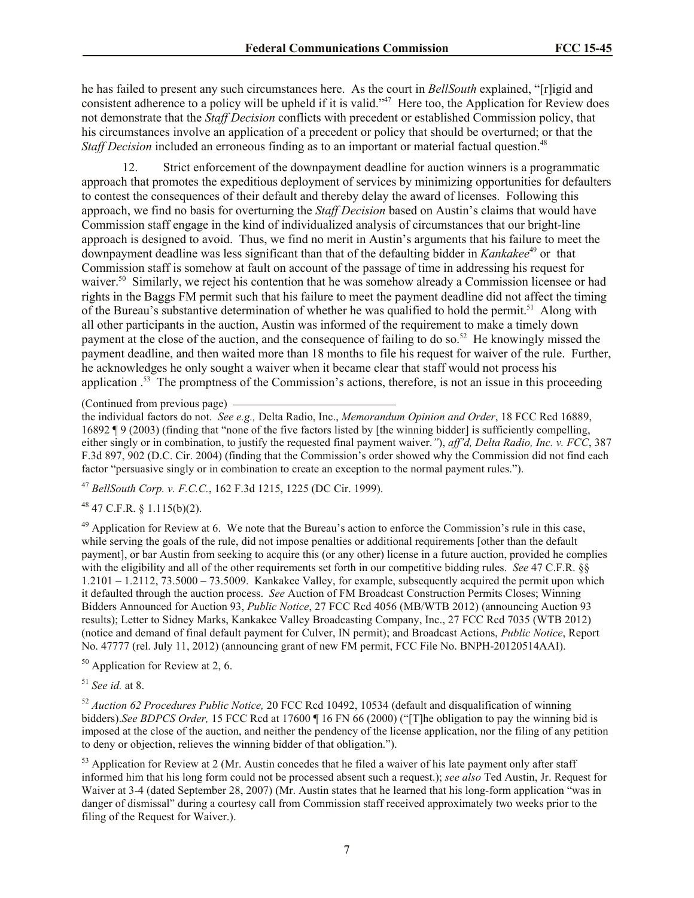he has failed to present any such circumstances here. As the court in *BellSouth* explained, "[r]igid and consistent adherence to a policy will be upheld if it is valid."<sup>47</sup> Here too, the Application for Review does not demonstrate that the *Staff Decision* conflicts with precedent or established Commission policy, that his circumstances involve an application of a precedent or policy that should be overturned; or that the *Staff Decision* included an erroneous finding as to an important or material factual question.<sup>48</sup>

12. Strict enforcement of the downpayment deadline for auction winners is a programmatic approach that promotes the expeditious deployment of services by minimizing opportunities for defaulters to contest the consequences of their default and thereby delay the award of licenses. Following this approach, we find no basis for overturning the *Staff Decision* based on Austin's claims that would have Commission staff engage in the kind of individualized analysis of circumstances that our bright-line approach is designed to avoid. Thus, we find no merit in Austin's arguments that his failure to meet the downpayment deadline was less significant than that of the defaulting bidder in *Kankakee*<sup>49</sup> or that Commission staff is somehow at fault on account of the passage of time in addressing his request for waiver.<sup>50</sup> Similarly, we reject his contention that he was somehow already a Commission licensee or had rights in the Baggs FM permit such that his failure to meet the payment deadline did not affect the timing of the Bureau's substantive determination of whether he was qualified to hold the permit.<sup>51</sup> Along with all other participants in the auction, Austin was informed of the requirement to make a timely down payment at the close of the auction, and the consequence of failing to do so.<sup>52</sup> He knowingly missed the payment deadline, and then waited more than 18 months to file his request for waiver of the rule. Further, he acknowledges he only sought a waiver when it became clear that staff would not process his application .<sup>53</sup> The promptness of the Commission's actions, therefore, is not an issue in this proceeding

(Continued from previous page)

the individual factors do not. *See e.g.,* Delta Radio, Inc., *Memorandum Opinion and Order*, 18 FCC Rcd 16889, 16892 ¶ 9 (2003) (finding that "none of the five factors listed by [the winning bidder] is sufficiently compelling, either singly or in combination, to justify the requested final payment waiver.*"*), *aff'd, Delta Radio, Inc. v. FCC*, 387 F.3d 897, 902 (D.C. Cir. 2004) (finding that the Commission's order showed why the Commission did not find each factor "persuasive singly or in combination to create an exception to the normal payment rules.").

<sup>47</sup> *BellSouth Corp. v. F.C.C.*, 162 F.3d 1215, 1225 (DC Cir. 1999).

 $48$  47 C.F.R. § 1.115(b)(2).

 $^{49}$  Application for Review at 6. We note that the Bureau's action to enforce the Commission's rule in this case, while serving the goals of the rule, did not impose penalties or additional requirements [other than the default payment], or bar Austin from seeking to acquire this (or any other) license in a future auction, provided he complies with the eligibility and all of the other requirements set forth in our competitive bidding rules. *See* 47 C.F.R. §§  $1.2101 - 1.2112$ ,  $73.5000 - 73.5009$ . Kankakee Valley, for example, subsequently acquired the permit upon which it defaulted through the auction process. *See* Auction of FM Broadcast Construction Permits Closes; Winning Bidders Announced for Auction 93, *Public Notice*, 27 FCC Rcd 4056 (MB/WTB 2012) (announcing Auction 93 results); Letter to Sidney Marks, Kankakee Valley Broadcasting Company, Inc., 27 FCC Rcd 7035 (WTB 2012) (notice and demand of final default payment for Culver, IN permit); and Broadcast Actions, *Public Notice*, Report No. 47777 (rel. July 11, 2012) (announcing grant of new FM permit, FCC File No. BNPH-20120514AAI).

 $50$  Application for Review at 2, 6.

<sup>51</sup> *See id.* at 8.

<sup>52</sup> *Auction 62 Procedures Public Notice,* 20 FCC Rcd 10492, 10534 (default and disqualification of winning bidders).*See BDPCS Order,* 15 FCC Rcd at 17600 ¶ 16 FN 66 (2000) ("[T]he obligation to pay the winning bid is imposed at the close of the auction, and neither the pendency of the license application, nor the filing of any petition to deny or objection, relieves the winning bidder of that obligation.").

<sup>53</sup> Application for Review at 2 (Mr. Austin concedes that he filed a waiver of his late payment only after staff informed him that his long form could not be processed absent such a request.); *see also* Ted Austin, Jr. Request for Waiver at 3-4 (dated September 28, 2007) (Mr. Austin states that he learned that his long-form application "was in danger of dismissal" during a courtesy call from Commission staff received approximately two weeks prior to the filing of the Request for Waiver.).